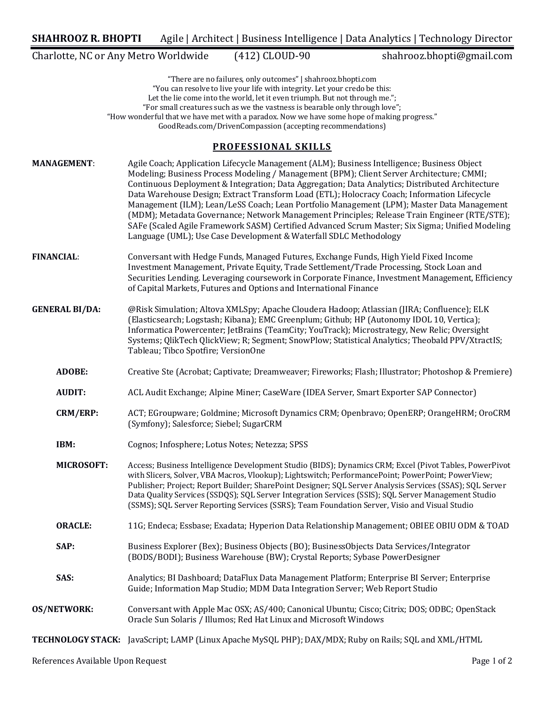Charlotte, NC or Any Metro Worldwide (412) CLOUD-90 shahrooz.bhopti@gmail.com

"There are no failures, only outcomes" | shahrooz.bhopti.com "You can resolve to live your life with integrity. Let your credo be this: Let the lie come into the world, let it even triumph. But not through me."; "For small creatures such as we the vastness is bearable only through love"; "How wonderful that we have met with a paradox. Now we have some hope of making progress." GoodReads.com/DrivenCompassion (accepting recommendations)

### **PROFESSIONAL SKILLS**

**MANAGEMENT:** Agile Coach; Application Lifecycle Management (ALM); Business Intelligence; Business Object Modeling; Business Process Modeling / Management (BPM); Client Server Architecture; CMMI; Continuous Deployment & Integration; Data Aggregation; Data Analytics; Distributed Architecture Data Warehouse Design; Extract Transform Load (ETL); Holocracy Coach; Information Lifecycle Management (ILM); Lean/LeSS Coach; Lean Portfolio Management (LPM); Master Data Management (MDM); Metadata Governance; Network Management Principles; Release Train Engineer (RTE/STE); SAFe (Scaled Agile Framework SASM) Certified Advanced Scrum Master; Six Sigma; Unified Modeling Language (UML); Use Case Development & Waterfall SDLC Methodology **FINANCIAL:** Conversant with Hedge Funds, Managed Futures, Exchange Funds, High Yield Fixed Income Investment Management, Private Equity, Trade Settlement/Trade Processing, Stock Loan and Securities Lending. Leveraging coursework in Corporate Finance, Investment Management, Efficiency of Capital Markets, Futures and Options and International Finance **GENERAL BI/DA:** @Risk Simulation; Altova XMLSpy; Apache Cloudera Hadoop; Atlassian (JIRA; Confluence); ELK (Elasticsearch: Logstash: Kibana); EMC Greenplum; Github; HP (Autonomy IDOL 10, Vertica); Informatica Powercenter; JetBrains (TeamCity; YouTrack); Microstrategy, New Relic; Oversight Systems; QlikTech QlickView; R; Segment; SnowPlow; Statistical Analytics; Theobald PPV/XtractIS; Tableau; Tibco Spotfire; VersionOne **ADOBE:** Creative Ste (Acrobat; Captivate; Dreamweaver; Fireworks; Flash; Illustrator; Photoshop & Premiere) **AUDIT:** ACL Audit Exchange; Alpine Miner; CaseWare (IDEA Server, Smart Exporter SAP Connector) **CRM/ERP:** ACT; EGroupware; Goldmine; Microsoft Dynamics CRM; Openbravo; OpenERP; OrangeHRM; OroCRM (Symfony); Salesforce; Siebel; SugarCRM **IBM:** Cognos; Infosphere; Lotus Notes; Netezza; SPSS **MICROSOFT:** Access; Business Intelligence Development Studio (BIDS); Dynamics CRM; Excel (Pivot Tables, PowerPivot with Slicers, Solver, VBA Macros, Vlookup); Lightswitch; PerformancePoint; PowerPoint; PowerView; Publisher; Project; Report Builder; SharePoint Designer; SQL Server Analysis Services (SSAS); SQL Server Data Quality Services (SSDQS); SQL Server Integration Services (SSIS); SQL Server Management Studio (SSMS); SQL Server Reporting Services (SSRS); Team Foundation Server, Visio and Visual Studio **ORACLE:** 11G; Endeca; Essbase; Exadata; Hyperion Data Relationship Management; OBIEE OBIU ODM & TOAD **SAP:** Business Explorer (Bex); Business Objects (BO); BusinessObjects Data Services/Integrator (BODS/BODI); Business Warehouse (BW); Crystal Reports; Sybase PowerDesigner **SAS:** Analytics; BI Dashboard; DataFlux Data Management Platform; Enterprise BI Server; Enterprise Guide; Information Map Studio; MDM Data Integration Server; Web Report Studio **OS/NETWORK:** Conversant with Apple Mac OSX; AS/400; Canonical Ubuntu; Cisco; Citrix; DOS; ODBC; OpenStack Oracle Sun Solaris / Illumos; Red Hat Linux and Microsoft Windows **TECHNOLOGY STACK:** JavaScript; LAMP (Linux Apache MySQL PHP); DAX/MDX; Ruby on Rails; SQL and XML/HTML